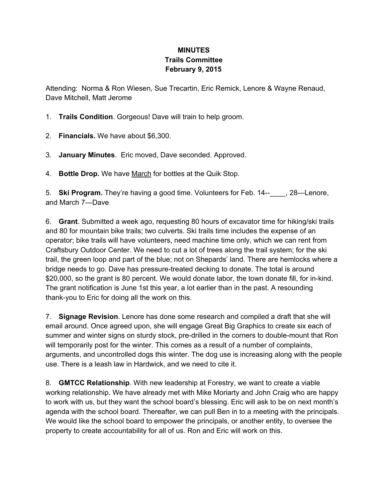## **MINUTES Trails Committee February 9, 2015**

Attending: Norma & Ron Wiesen, Sue Trecartin, Eric Remick, Lenore & Wayne Renaud, Dave Mitchell, Matt Jerome

- 1. **Trails Condition**. Gorgeous! Dave will train to help groom.
- 2. **Financials.** We have about \$6,300.
- 3. **January Minutes**. Eric moved, Dave seconded. Approved.
- 4. **Bottle Drop.** We have March for bottles at the Quik Stop.

5. **Ski Program.** They're having a good time. Volunteers for Feb. 14\_\_\_\_, 28—Lenore, and March 7—Dave

6. **Grant**. Submitted a week ago, requesting 80 hours of excavator time for hiking/ski trails and 80 for mountain bike trails; two culverts. Ski trails time includes the expense of an operator; bike trails will have volunteers, need machine time only, which we can rent from Craftsbury Outdoor Center. We need to cut a lot of trees along the trail system; for the ski trail, the green loop and part of the blue; not on Shepards' land. There are hemlocks where a bridge needs to go. Dave has pressure-treated decking to donate. The total is around \$20,000, so the grant is 80 percent. We would donate labor, the town donate fill, for in-kind. The grant notification is June 1st this year, a lot earlier than in the past. A resounding thank-you to Eric for doing all the work on this.

7. **Signage Revision**. Lenore has done some research and compiled a draft that she will email around. Once agreed upon, she will engage Great Big Graphics to create six each of summer and winter signs on sturdy stock, pre-drilled in the corners to double-mount that Ron will temporarily post for the winter. This comes as a result of a number of complaints, arguments, and uncontrolled dogs this winter. The dog use is increasing along with the people use. There is a leash law in Hardwick, and we need to cite it.

8. **GMTCC Relationship**. With new leadership at Forestry, we want to create a viable working relationship. We have already met with Mike Moriarty and John Craig who are happy to work with us, but they want the school board's blessing. Eric will ask to be on next month's agenda with the school board. Thereafter, we can pull Ben in to a meeting with the principals. We would like the school board to empower the principals, or another entity, to oversee the property to create accountability for all of us. Ron and Eric will work on this.